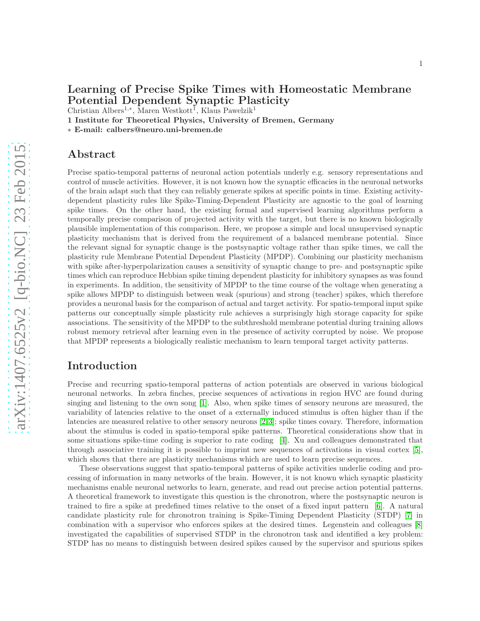# Learning of Precise Spike Times with Homeostatic Membrane Potential Dependent Synaptic Plasticity

Christian Albers<sup>1,∗</sup>, Maren Westkott<sup>1</sup>, Klaus Pawelzik<sup>1</sup>

1 Institute for Theoretical Physics, University of Bremen, Germany

∗ E-mail: calbers@neuro.uni-bremen.de

## Abstract

Precise spatio-temporal patterns of neuronal action potentials underly e.g. sensory representations and control of muscle activities. However, it is not known how the synaptic efficacies in the neuronal networks of the brain adapt such that they can reliably generate spikes at specific points in time. Existing activitydependent plasticity rules like Spike-Timing-Dependent Plasticity are agnostic to the goal of learning spike times. On the other hand, the existing formal and supervised learning algorithms perform a temporally precise comparison of projected activity with the target, but there is no known biologically plausible implementation of this comparison. Here, we propose a simple and local unsupervised synaptic plasticity mechanism that is derived from the requirement of a balanced membrane potential. Since the relevant signal for synaptic change is the postsynaptic voltage rather than spike times, we call the plasticity rule Membrane Potential Dependent Plasticity (MPDP). Combining our plasticity mechanism with spike after-hyperpolarization causes a sensitivity of synaptic change to pre- and postsynaptic spike times which can reproduce Hebbian spike timing dependent plasticity for inhibitory synapses as was found in experiments. In addition, the sensitivity of MPDP to the time course of the voltage when generating a spike allows MPDP to distinguish between weak (spurious) and strong (teacher) spikes, which therefore provides a neuronal basis for the comparison of actual and target activity. For spatio-temporal input spike patterns our conceptually simple plasticity rule achieves a surprisingly high storage capacity for spike associations. The sensitivity of the MPDP to the subthreshold membrane potential during training allows robust memory retrieval after learning even in the presence of activity corrupted by noise. We propose that MPDP represents a biologically realistic mechanism to learn temporal target activity patterns.

# Introduction

Precise and recurring spatio-temporal patterns of action potentials are observed in various biological neuronal networks. In zebra finches, precise sequences of activations in region HVC are found during singing and listening to the own song [\[1\]](#page-19-0). Also, when spike times of sensory neurons are measured, the variability of latencies relative to the onset of a externally induced stimulus is often higher than if the latencies are measured relative to other sensory neurons [\[2,](#page-19-1)[3\]](#page-19-2); spike times covary. Therefore, information about the stimulus is coded in spatio-temporal spike patterns. Theoretical considerations show that in some situations spike-time coding is superior to rate coding [\[4\]](#page-19-3). Xu and colleagues demonstrated that through associative training it is possible to imprint new sequences of activations in visual cortex [\[5\]](#page-19-4), which shows that there are plasticity mechanisms which are used to learn precise sequences.

These observations suggest that spatio-temporal patterns of spike activities underlie coding and processing of information in many networks of the brain. However, it is not known which synaptic plasticity mechanisms enable neuronal networks to learn, generate, and read out precise action potential patterns. A theoretical framework to investigate this question is the chronotron, where the postsynaptic neuron is trained to fire a spike at predefined times relative to the onset of a fixed input pattern [\[6\]](#page-19-5). A natural candidate plasticity rule for chronotron training is Spike-Timing Dependent Plasticity (STDP) [\[7\]](#page-19-6) in combination with a supervisor who enforces spikes at the desired times. Legenstein and colleagues [\[8\]](#page-19-7) investigated the capabilities of supervised STDP in the chronotron task and identified a key problem: STDP has no means to distinguish between desired spikes caused by the supervisor and spurious spikes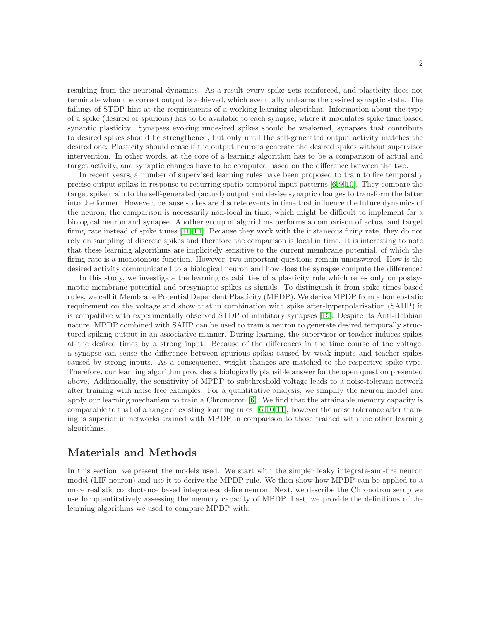resulting from the neuronal dynamics. As a result every spike gets reinforced, and plasticity does not terminate when the correct output is achieved, which eventually unlearns the desired synaptic state. The failings of STDP hint at the requirements of a working learning algorithm. Information about the type of a spike (desired or spurious) has to be available to each synapse, where it modulates spike time based synaptic plasticity. Synapses evoking undesired spikes should be weakened, synapses that contribute to desired spikes should be strengthened, but only until the self-generated output activity matches the desired one. Plasticity should cease if the output neurons generate the desired spikes without supervisor intervention. In other words, at the core of a learning algorithm has to be a comparison of actual and target activity, and synaptic changes have to be computed based on the difference between the two.

In recent years, a number of supervised learning rules have been proposed to train to fire temporally precise output spikes in response to recurring spatio-temporal input patterns [\[6,](#page-19-5)[9,](#page-19-8)[10\]](#page-19-9). They compare the target spike train to the self-generated (actual) output and devise synaptic changes to transform the latter into the former. However, because spikes are discrete events in time that influence the future dynamics of the neuron, the comparison is necessarily non-local in time, which might be difficult to implement for a biological neuron and synapse. Another group of algorithms performs a comparison of actual and target firing rate instead of spike times [\[11](#page-19-10)[–14\]](#page-19-11). Because they work with the instaneous firing rate, they do not rely on sampling of discrete spikes and therefore the comparison is local in time. It is interesting to note that these learning algorithms are implicitely sensitive to the current membrane potential, of which the firing rate is a monotonous function. However, two important questions remain unanswered: How is the desired activity communicated to a biological neuron and how does the synapse compute the difference?

In this study, we investigate the learning capabilities of a plasticity rule which relies only on postsynaptic membrane potential and presynaptic spikes as signals. To distinguish it from spike times based rules, we call it Membrane Potential Dependent Plasticity (MPDP). We derive MPDP from a homeostatic requirement on the voltage and show that in combination with spike after-hyperpolarisation (SAHP) it is compatible with experimentally observed STDP of inhibitory synapses [\[15\]](#page-19-12). Despite its Anti-Hebbian nature, MPDP combined with SAHP can be used to train a neuron to generate desired temporally structured spiking output in an associative manner. During learning, the supervisor or teacher induces spikes at the desired times by a strong input. Because of the differences in the time course of the voltage, a synapse can sense the difference between spurious spikes caused by weak inputs and teacher spikes caused by strong inputs. As a consequence, weight changes are matched to the respective spike type. Therefore, our learning algorithm provides a biologically plausible answer for the open question presented above. Additionally, the sensitivity of MPDP to subthreshold voltage leads to a noise-tolerant network after training with noise free examples. For a quantitative analysis, we simplify the neuron model and apply our learning mechanism to train a Chronotron [\[6\]](#page-19-5). We find that the attainable memory capacity is comparable to that of a range of existing learning rules [\[6,](#page-19-5)[10,](#page-19-9)[11\]](#page-19-10), however the noise tolerance after training is superior in networks trained with MPDP in comparison to those trained with the other learning algorithms.

# Materials and Methods

In this section, we present the models used. We start with the simpler leaky integrate-and-fire neuron model (LIF neuron) and use it to derive the MPDP rule. We then show how MPDP can be applied to a more realistic conductance based integrate-and-fire neuron. Next, we describe the Chronotron setup we use for quantitatively assessing the memory capacity of MPDP. Last, we provide the definitions of the learning algorithms we used to compare MPDP with.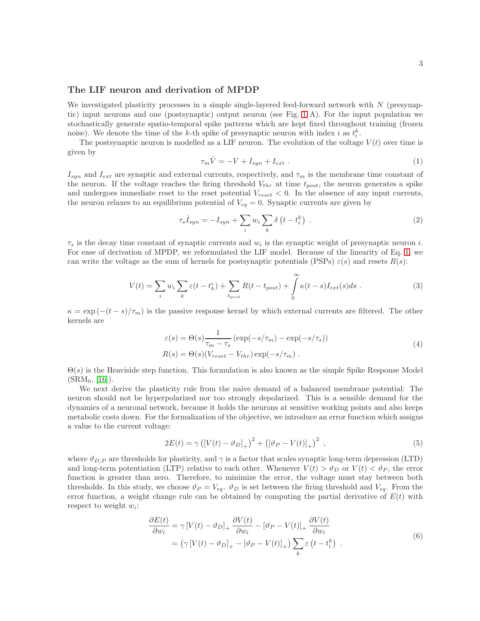## The LIF neuron and derivation of MPDP

We investigated plasticity processes in a simple single-layered feed-forward network with  $N$  (presynaptic) input neurons and one (postsynaptic) output neuron (see Fig. [1](#page-9-0) A). For the input population we stochastically generate spatio-temporal spike patterns which are kept fixed throughout training (frozen noise). We denote the time of the k-th spike of presynaptic neuron with index i as  $t_i^k$ .

The postsynaptic neuron is modelled as a LIF neuron. The evolution of the voltage  $V(t)$  over time is given by

<span id="page-2-0"></span>
$$
\tau_m \dot{V} = -V + I_{syn} + I_{ext} \tag{1}
$$

 $I_{syn}$  and  $I_{ext}$  are synaptic and external currents, respectively, and  $\tau_m$  is the membrane time constant of the neuron. If the voltage reaches the firing threshold  $V_{thr}$  at time  $t_{post}$ , the neuron generates a spike and undergoes immediate reset to the reset potential  $V_{reset} < 0$ . In the absence of any input currents, the neuron relaxes to an equilibrium potential of  $V_{eq} = 0$ . Synaptic currents are given by

$$
\tau_s \dot{I}_{syn} = -I_{syn} + \sum_i w_i \sum_k \delta\left(t - t_i^k\right) \,. \tag{2}
$$

 $\tau_s$  is the decay time constant of synaptic currents and  $w_i$  is the synaptic weight of presynaptic neuron i. For ease of derivation of MPDP, we reformulated the LIF model. Because of the linearity of Eq. [1,](#page-2-0) we can write the voltage as the sum of kernels for postsynaptic potentials (PSPs)  $\varepsilon(s)$  and resets  $R(s)$ :

$$
V(t) = \sum_{i} w_i \sum_{k} \varepsilon(t - t_k^i) + \sum_{t_{post}} R(t - t_{post}) + \int_{0}^{\infty} \kappa(t - s) I_{ext}(s) ds . \tag{3}
$$

 $\kappa = \exp(-(t-s)/\tau_m)$  is the passive response kernel by which external currents are filtered. The other kernels are

$$
\varepsilon(s) = \Theta(s) \frac{1}{\tau_m - \tau_s} \left( \exp(-s/\tau_m) - \exp(-s/\tau_s) \right)
$$
  
\n
$$
R(s) = \Theta(s) (V_{reset} - V_{thr}) \exp(-s/\tau_m) .
$$
\n(4)

 $\Theta(s)$  is the Heaviside step function. This formulation is also known as the simple Spike Response Model  $(SRM_0, [16])$  $(SRM_0, [16])$  $(SRM_0, [16])$ .

We next derive the plasticity rule from the naive demand of a balanced membrane potential: The neuron should not be hyperpolarized nor too strongly depolarized. This is a sensible demand for the dynamics of a neuronal network, because it holds the neurons at sensitive working points and also keeps metabolic costs down. For the formalization of the objective, we introduce an error function which assigns a value to the current voltage:

<span id="page-2-1"></span>
$$
2E(t) = \gamma ([V(t) - \vartheta_D]_+)^2 + ([\vartheta_P - V(t)]_+)^2 , \qquad (5)
$$

where  $\vartheta_{D,P}$  are thresholds for plasticity, and  $\gamma$  is a factor that scales synaptic long-term depression (LTD) and long-term potentiation (LTP) relative to each other. Whenever  $V(t) > \vartheta_D$  or  $V(t) < \vartheta_P$ , the error function is greater than zero. Therefore, to minimize the error, the voltage must stay between both thresholds. In this study, we choose  $\vartheta_P = V_{eq}$ .  $\vartheta_D$  is set between the firing threshold and  $V_{eq}$ . From the error function, a weight change rule can be obtained by computing the partial derivative of  $E(t)$  with respect to weight  $w_i$ :

$$
\frac{\partial E(t)}{\partial w_i} = \gamma \left[ V(t) - \vartheta_D \right]_+ \frac{\partial V(t)}{\partial w_i} - \left[ \vartheta_P - V(t) \right]_+ \frac{\partial V(t)}{\partial w_i}
$$
  
= \left( \gamma \left[ V(t) - \vartheta\_D \right]\_+ - \left[ \vartheta\_P - V(t) \right]\_+ \right) \sum\_k \varepsilon \left( t - t\_i^k \right) . \tag{6}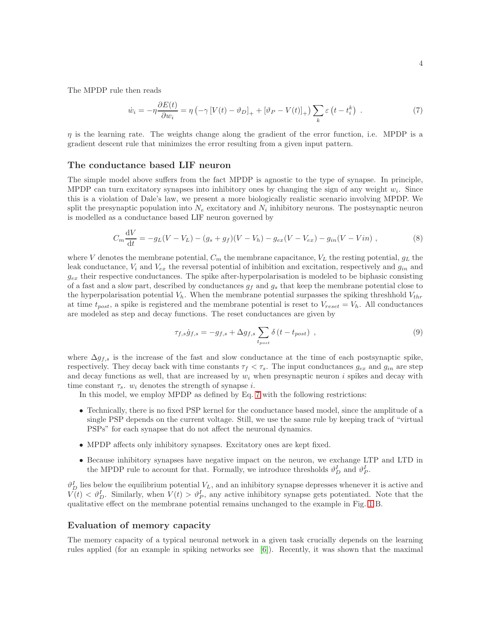The MPDP rule then reads

<span id="page-3-0"></span>
$$
\dot{w}_i = -\eta \frac{\partial E(t)}{\partial w_i} = \eta \left( -\gamma \left[ V(t) - \vartheta_D \right]_+ + \left[ \vartheta_P - V(t) \right]_+ \right) \sum_k \varepsilon \left( t - t_i^k \right) \ . \tag{7}
$$

 $\eta$  is the learning rate. The weights change along the gradient of the error function, i.e. MPDP is a gradient descent rule that minimizes the error resulting from a given input pattern.

#### The conductance based LIF neuron

The simple model above suffers from the fact MPDP is agnostic to the type of synapse. In principle, MPDP can turn excitatory synapses into inhibitory ones by changing the sign of any weight  $w_i$ . Since this is a violation of Dale's law, we present a more biologically realistic scenario involving MPDP. We split the presynaptic population into  $N_e$  excitatory and  $N_i$  inhibitory neurons. The postsynaptic neuron is modelled as a conductance based LIF neuron governed by

$$
C_m \frac{\mathrm{d}V}{\mathrm{d}t} = -g_L(V - V_L) - (g_s + g_f)(V - V_h) - g_{ex}(V - V_{ex}) - g_{in}(V - Vin) , \qquad (8)
$$

where V denotes the membrane potential,  $C_m$  the membrane capacitance,  $V_L$  the resting potential,  $g_L$  the leak conductance,  $V_i$  and  $V_{ex}$  the reversal potential of inhibition and excitation, respectively and  $g_{in}$  and  $g_{ex}$  their respective conductances. The spike after-hyperpolarisation is modeled to be biphasic consisting of a fast and a slow part, described by conductances  $g_f$  and  $g_s$  that keep the membrane potential close to the hyperpolarisation potential  $V<sub>h</sub>$ . When the membrane potential surpasses the spiking threshhold  $V<sub>thr</sub>$ at time  $t_{post}$ , a spike is registered and the membrane potential is reset to  $V_{reset} = V_h$ . All conductances are modeled as step and decay functions. The reset conductances are given by

$$
\tau_{f,s}\dot{g}_{f,s} = -g_{f,s} + \Delta g_{f,s} \sum_{t_{post}} \delta\left(t - t_{post}\right) , \qquad (9)
$$

where  $\Delta g_{f,s}$  is the increase of the fast and slow conductance at the time of each postsynaptic spike, respectively. They decay back with time constants  $\tau_f < \tau_s$ . The input conductances  $g_{ex}$  and  $g_{in}$  are step and decay functions as well, that are increased by  $w_i$  when presynaptic neuron i spikes and decay with time constant  $\tau_s$ .  $w_i$  denotes the strength of synapse *i*.

In this model, we employ MPDP as defined by Eq. [7](#page-3-0) with the following restrictions:

- Technically, there is no fixed PSP kernel for the conductance based model, since the amplitude of a single PSP depends on the current voltage. Still, we use the same rule by keeping track of "virtual PSPs" for each synapse that do not affect the neuronal dynamics.
- MPDP affects only inhibitory synapses. Excitatory ones are kept fixed.
- Because inhibitory synapses have negative impact on the neuron, we exchange LTP and LTD in the MPDP rule to account for that. Formally, we introduce thresholds  $\vartheta_D^I$  and  $\vartheta_P^I$ .

 $\vartheta_D^I$  lies below the equilibrium potential  $V_L$ , and an inhibitory synapse depresses whenever it is active and  $V(t) < \vartheta_D^I$ . Similarly, when  $V(t) > \vartheta_P^I$ , any active inhibitory synapse gets potentiated. Note that the qualitative effect on the membrane potential remains unchanged to the example in Fig. [1](#page-9-0) B.

### Evaluation of memory capacity

The memory capacity of a typical neuronal network in a given task crucially depends on the learning rules applied (for an example in spiking networks see [\[6\]](#page-19-5)). Recently, it was shown that the maximal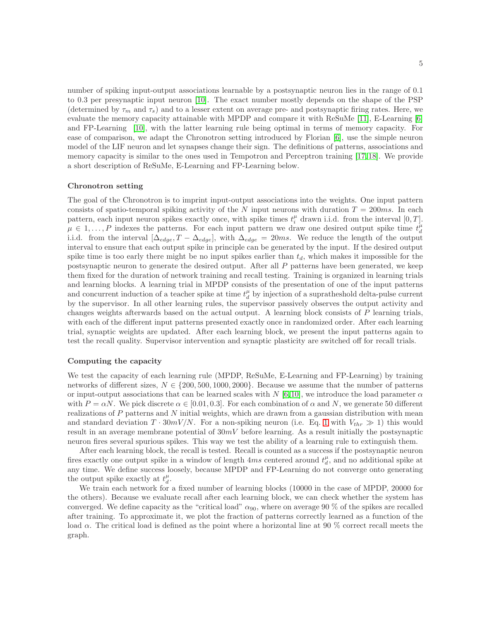number of spiking input-output associations learnable by a postsynaptic neuron lies in the range of 0.1 to 0.3 per presynaptic input neuron [\[10\]](#page-19-9). The exact number mostly depends on the shape of the PSP (determined by  $\tau_m$  and  $\tau_s$ ) and to a lesser extent on average pre- and postsynaptic firing rates. Here, we evaluate the memory capacity attainable with MPDP and compare it with ReSuMe [\[11\]](#page-19-10), E-Learning [\[6\]](#page-19-5) and FP-Learning [\[10\]](#page-19-9), with the latter learning rule being optimal in terms of memory capacity. For ease of comparison, we adapt the Chronotron setting introduced by Florian [\[6\]](#page-19-5), use the simple neuron model of the LIF neuron and let synapses change their sign. The definitions of patterns, associations and memory capacity is similar to the ones used in Tempotron and Perceptron training [\[17,](#page-19-14) [18\]](#page-19-15). We provide a short description of ReSuMe, E-Learning and FP-Learning below.

#### Chronotron setting

The goal of the Chronotron is to imprint input-output associations into the weights. One input pattern consists of spatio-temporal spiking activity of the N input neurons with duration  $T = 200ms$ . In each pattern, each input neuron spikes exactly once, with spike times  $t_i^{\mu}$  drawn i.i.d. from the interval  $[0, T]$ .  $\mu \in 1, \ldots, P$  indexes the patterns. For each input pattern we draw one desired output spike time  $t_d^{\mu}$ i.i.d. from the interval  $[\Delta_{edge}, T - \Delta_{edge}],$  with  $\Delta_{edge} = 20ms$ . We reduce the length of the output interval to ensure that each output spike in principle can be generated by the input. If the desired output spike time is too early there might be no input spikes earlier than  $t_d$ , which makes it impossible for the postsynaptic neuron to generate the desired output. After all P patterns have been generated, we keep them fixed for the duration of network training and recall testing. Training is organized in learning trials and learning blocks. A learning trial in MPDP consists of the presentation of one of the input patterns and concurrent induction of a teacher spike at time  $t_d^{\mu}$  by injection of a supratheshold delta-pulse current by the supervisor. In all other learning rules, the supervisor passively observes the output activity and changes weights afterwards based on the actual output. A learning block consists of P learning trials, with each of the different input patterns presented exactly once in randomized order. After each learning trial, synaptic weights are updated. After each learning block, we present the input patterns again to test the recall quality. Supervisor intervention and synaptic plasticity are switched off for recall trials.

#### Computing the capacity

We test the capacity of each learning rule (MPDP, ReSuMe, E-Learning and FP-Learning) by training networks of different sizes,  $N \in \{200, 500, 1000, 2000\}$ . Because we assume that the number of patterns or input-output associations that can be learned scales with  $N$  [\[6,](#page-19-5)[10\]](#page-19-9), we introduce the load parameter  $\alpha$ with  $P = \alpha N$ . We pick discrete  $\alpha \in [0.01, 0.3]$ . For each combination of  $\alpha$  and N, we generate 50 different realizations of  $P$  patterns and  $N$  initial weights, which are drawn from a gaussian distribution with mean and standard deviation  $T \cdot 30mV/N$ . For a non-spiking neuron (i.e. Eq. [1](#page-2-0) with  $V_{thr} \gg 1$ ) this would result in an average membrane potential of  $30mV$  before learning. As a result initially the postsynaptic neuron fires several spurious spikes. This way we test the ability of a learning rule to extinguish them.

After each learning block, the recall is tested. Recall is counted as a success if the postsynaptic neuron fires exactly one output spike in a window of length  $4ms$  centered around  $t_d^{\mu}$ , and no additional spike at any time. We define success loosely, because MPDP and FP-Learning do not converge onto generating the output spike exactly at  $t_d^{\mu}$ .

We train each network for a fixed number of learning blocks (10000 in the case of MPDP, 20000 for the others). Because we evaluate recall after each learning block, we can check whether the system has converged. We define capacity as the "critical load"  $\alpha_{90}$ , where on average 90 % of the spikes are recalled after training. To approximate it, we plot the fraction of patterns correctly learned as a function of the load α. The critical load is defined as the point where a horizontal line at 90 % correct recall meets the graph.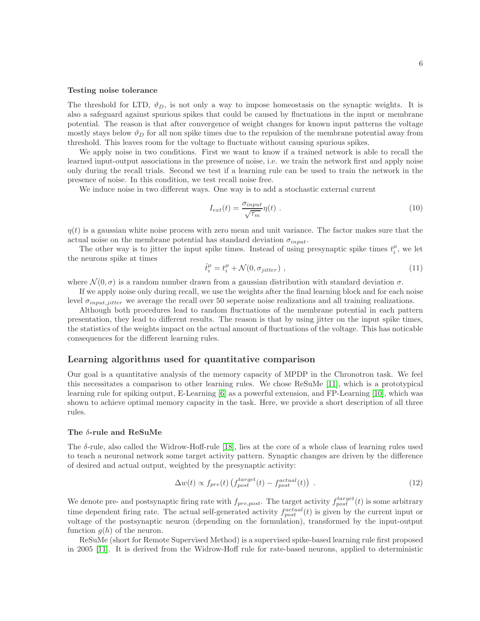#### Testing noise tolerance

The threshold for LTD,  $\vartheta_D$ , is not only a way to impose homeostasis on the synaptic weights. It is also a safeguard against spurious spikes that could be caused by fluctuations in the input or membrane potential. The reason is that after convergence of weight changes for known input patterns the voltage mostly stays below  $\vartheta_D$  for all non spike times due to the repulsion of the membrane potential away from threshold. This leaves room for the voltage to fluctuate without causing spurious spikes.

We apply noise in two conditions. First we want to know if a trained network is able to recall the learned input-output associations in the presence of noise, i.e. we train the network first and apply noise only during the recall trials. Second we test if a learning rule can be used to train the network in the presence of noise. In this condition, we test recall noise free.

We induce noise in two different ways. One way is to add a stochastic external current

$$
I_{ext}(t) = \frac{\sigma_{input}}{\sqrt{\tau_m}} \eta(t) \tag{10}
$$

 $\eta(t)$  is a gaussian white noise process with zero mean and unit variance. The factor makes sure that the actual noise on the membrane potential has standard deviation  $\sigma_{input}$ .

The other way is to jitter the input spike times. Instead of using presynaptic spike times  $t_i^{\mu}$ , we let the neurons spike at times

$$
\hat{t}_i^{\mu} = t_i^{\mu} + \mathcal{N}(0, \sigma_{jitter}) \tag{11}
$$

where  $\mathcal{N}(0,\sigma)$  is a random number drawn from a gaussian distribution with standard deviation  $\sigma$ .

If we apply noise only during recall, we use the weights after the final learning block and for each noise level  $\sigma_{input,jitter}$  we average the recall over 50 seperate noise realizations and all training realizations.

Although both procedures lead to random fluctuations of the membrane potential in each pattern presentation, they lead to different results. The reason is that by using jitter on the input spike times, the statistics of the weights impact on the actual amount of fluctuations of the voltage. This has noticable consequences for the different learning rules.

## Learning algorithms used for quantitative comparison

Our goal is a quantitative analysis of the memory capacity of MPDP in the Chronotron task. We feel this necessitates a comparison to other learning rules. We chose ReSuMe [\[11\]](#page-19-10), which is a prototypical learning rule for spiking output, E-Learning [\[6\]](#page-19-5) as a powerful extension, and FP-Learning [\[10\]](#page-19-9), which was shown to achieve optimal memory capacity in the task. Here, we provide a short description of all three rules.

#### The δ-rule and ReSuMe

The  $\delta$ -rule, also called the Widrow-Hoff-rule [\[18\]](#page-19-15), lies at the core of a whole class of learning rules used to teach a neuronal network some target activity pattern. Synaptic changes are driven by the difference of desired and actual output, weighted by the presynaptic activity:

$$
\Delta w(t) \propto f_{pre}(t) \left( f_{post}^{target}(t) - f_{post}^{actual}(t) \right) . \tag{12}
$$

We denote pre- and postsynaptic firing rate with  $f_{pre,post}$ . The target activity  $f_{post}^{target}(t)$  is some arbitrary time dependent firing rate. The actual self-generated activity  $f_{post}^{actual}(t)$  is given by the current input or voltage of the postsynaptic neuron (depending on the formulation), transformed by the input-output function  $g(h)$  of the neuron.

ReSuMe (short for Remote Supervised Method) is a supervised spike-based learning rule first proposed in 2005 [\[11\]](#page-19-10). It is derived from the Widrow-Hoff rule for rate-based neurons, applied to deterministic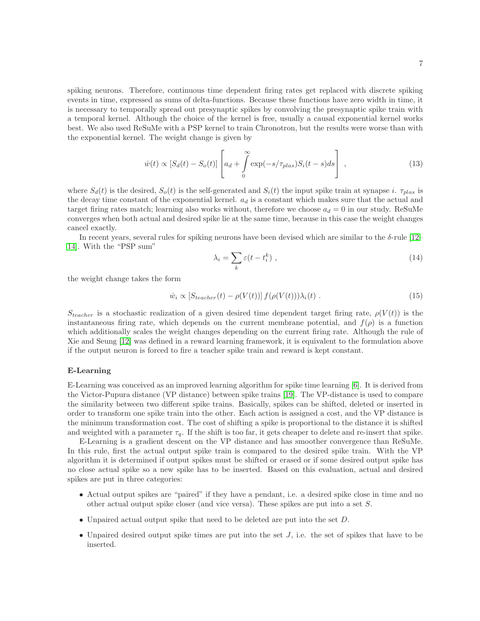spiking neurons. Therefore, continuous time dependent firing rates get replaced with discrete spiking events in time, expressed as sums of delta-functions. Because these functions have zero width in time, it is necessary to temporally spread out presynaptic spikes by convolving the presynaptic spike train with a temporal kernel. Although the choice of the kernel is free, usually a causal exponential kernel works best. We also used ReSuMe with a PSP kernel to train Chronotron, but the results were worse than with the exponential kernel. The weight change is given by

$$
\dot{w}(t) \propto \left[S_d(t) - S_o(t)\right] \left[a_d + \int\limits_0^\infty \exp(-s/\tau_{plas}) S_i(t-s) ds\right],\tag{13}
$$

where  $S_d(t)$  is the desired,  $S_o(t)$  is the self-generated and  $S_i(t)$  the input spike train at synapse i.  $\tau_{plas}$  is the decay time constant of the exponential kernel.  $a_d$  is a constant which makes sure that the actual and target firing rates match; learning also works without, therefore we choose  $a_d = 0$  in our study. ReSuMe converges when both actual and desired spike lie at the same time, because in this case the weight changes cancel exactly.

In recent years, several rules for spiking neurons have been devised which are similar to the δ-rule [\[12–](#page-19-16) [14\]](#page-19-11). With the "PSP sum"

$$
\lambda_i = \sum_k \varepsilon(t - t_i^k) \tag{14}
$$

the weight change takes the form

$$
\dot{w}_i \propto \left[ S_{teacher}(t) - \rho(V(t)) \right] f(\rho(V(t))) \lambda_i(t) \tag{15}
$$

 $S_{teacher}$  is a stochastic realization of a given desired time dependent target firing rate,  $\rho(V(t))$  is the instantaneous firing rate, which depends on the current membrane potential, and  $f(\rho)$  is a function which additionally scales the weight changes depending on the current firing rate. Although the rule of Xie and Seung [\[12\]](#page-19-16) was defined in a reward learning framework, it is equivalent to the formulation above if the output neuron is forced to fire a teacher spike train and reward is kept constant.

#### E-Learning

E-Learning was conceived as an improved learning algorithm for spike time learning [\[6\]](#page-19-5). It is derived from the Victor-Pupura distance (VP distance) between spike trains [\[19\]](#page-19-17). The VP-distance is used to compare the similarity between two different spike trains. Basically, spikes can be shifted, deleted or inserted in order to transform one spike train into the other. Each action is assigned a cost, and the VP distance is the minimum transformation cost. The cost of shifting a spike is proportional to the distance it is shifted and weighted with a parameter  $\tau_q$ . If the shift is too far, it gets cheaper to delete and re-insert that spike.

E-Learning is a gradient descent on the VP distance and has smoother convergence than ReSuMe. In this rule, first the actual output spike train is compared to the desired spike train. With the VP algorithm it is determined if output spikes must be shifted or erased or if some desired output spike has no close actual spike so a new spike has to be inserted. Based on this evaluation, actual and desired spikes are put in three categories:

- Actual output spikes are "paired" if they have a pendant, i.e. a desired spike close in time and no other actual output spike closer (and vice versa). These spikes are put into a set S.
- Unpaired actual output spike that need to be deleted are put into the set D.
- Unpaired desired output spike times are put into the set  $J$ , i.e. the set of spikes that have to be inserted.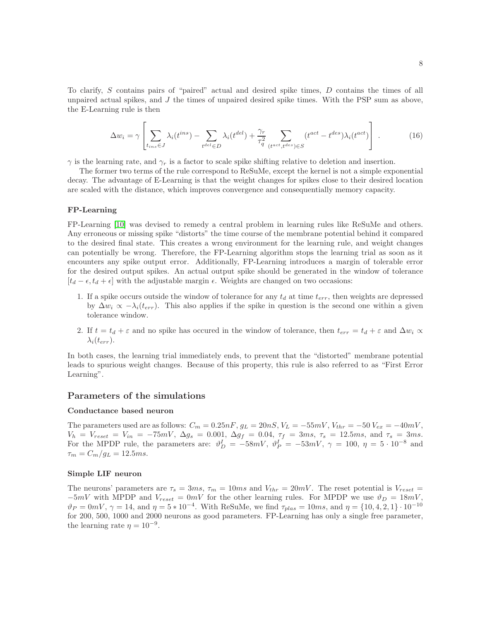To clarify,  $S$  contains pairs of "paired" actual and desired spike times,  $D$  contains the times of all unpaired actual spikes, and  $J$  the times of unpaired desired spike times. With the PSP sum as above, the E-Learning rule is then

$$
\Delta w_i = \gamma \left[ \sum_{t_{ins} \in J} \lambda_i(t^{ins}) - \sum_{t^{det} \in D} \lambda_i(t^{del}) + \frac{\gamma_r}{\tau_q^2} \sum_{(t^{act}, t^{des}) \in S} (t^{act} - t^{des}) \lambda_i(t^{act}) \right]. \tag{16}
$$

 $\gamma$  is the learning rate, and  $\gamma_r$  is a factor to scale spike shifting relative to deletion and insertion.

The former two terms of the rule correspond to ReSuMe, except the kernel is not a simple exponential decay. The advantage of E-Learning is that the weight changes for spikes close to their desired location are scaled with the distance, which improves convergence and consequentially memory capacity.

#### FP-Learning

FP-Learning [\[10\]](#page-19-9) was devised to remedy a central problem in learning rules like ReSuMe and others. Any erroneous or missing spike "distorts" the time course of the membrane potential behind it compared to the desired final state. This creates a wrong environment for the learning rule, and weight changes can potentially be wrong. Therefore, the FP-Learning algorithm stops the learning trial as soon as it encounters any spike output error. Additionally, FP-Learning introduces a margin of tolerable error for the desired output spikes. An actual output spike should be generated in the window of tolerance  $[t_d - \epsilon, t_d + \epsilon]$  with the adjustable margin  $\epsilon$ . Weights are changed on two occasions:

- 1. If a spike occurs outside the window of tolerance for any  $t_d$  at time  $t_{err}$ , then weights are depressed by  $\Delta w_i \propto -\lambda_i(t_{err})$ . This also applies if the spike in question is the second one within a given tolerance window.
- 2. If  $t = t_d + \varepsilon$  and no spike has occured in the window of tolerance, then  $t_{err} = t_d + \varepsilon$  and  $\Delta w_i \propto$  $\lambda_i(t_{err})$ .

In both cases, the learning trial immediately ends, to prevent that the "distorted" membrane potential leads to spurious weight changes. Because of this property, this rule is also referred to as "First Error Learning".

### Parameters of the simulations

### Conductance based neuron

The parameters used are as follows:  $C_m = 0.25nF, g_L = 20nS, V_L = -55mV, V_{thr} = -50 V_{ex} = -40mV$ ,  $V_h = V_{reset} = V_{in} = -75mV, \ \Delta g_s = 0.001, \ \Delta g_f = 0.04, \ \tau_f = 3ms, \ \tau_s = 12.5ms, \ \text{and} \ \tau_s = 3ms.$ For the MPDP rule, the parameters are:  $\vartheta_D^I = -58mV$ ,  $\vartheta_P^I = -53mV$ ,  $\gamma = 100$ ,  $\eta = 5 \cdot 10^{-8}$  and  $\tau_m = C_m/g_L = 12.5$ ms.

#### Simple LIF neuron

The neurons' parameters are  $\tau_s = 3ms$ ,  $\tau_m = 10ms$  and  $V_{thr} = 20mV$ . The reset potential is  $V_{reset} =$  $-5mV$  with MPDP and  $V_{reset} = 0mV$  for the other learning rules. For MPDP we use  $\vartheta_D = 18mV$ ,  $\vartheta_P = 0mV, \, \gamma = 14, \, \text{and } \eta = 5 * 10^{-4}.$  With ReSuMe, we find  $\tau_{plas} = 10ms, \, \text{and } \eta = \{10, 4, 2, 1\} \cdot 10^{-10}$ for 200, 500, 1000 and 2000 neurons as good parameters. FP-Learning has only a single free parameter, the learning rate  $\eta = 10^{-9}$ .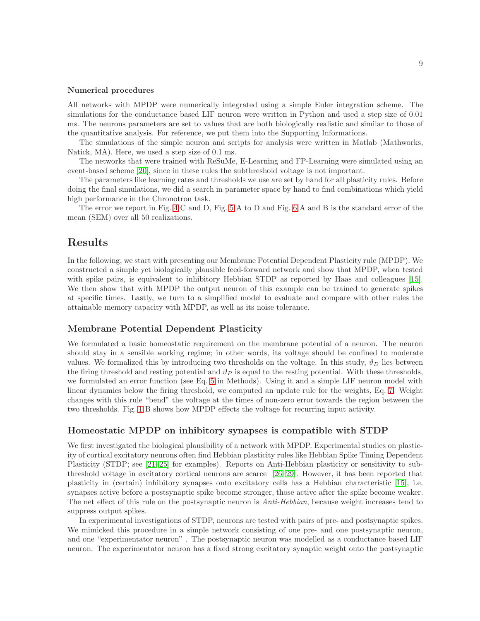#### Numerical procedures

All networks with MPDP were numerically integrated using a simple Euler integration scheme. The simulations for the conductance based LIF neuron were written in Python and used a step size of 0.01 ms. The neurons parameters are set to values that are both biologically realistic and similar to those of the quantitative analysis. For reference, we put them into the Supporting Informations.

The simulations of the simple neuron and scripts for analysis were written in Matlab (Mathworks, Natick, MA). Here, we used a step size of 0.1 ms.

The networks that were trained with ReSuMe, E-Learning and FP-Learning were simulated using an event-based scheme [\[20\]](#page-20-0), since in these rules the subthreshold voltage is not important.

The parameters like learning rates and thresholds we use are set by hand for all plasticity rules. Before doing the final simulations, we did a search in parameter space by hand to find combinations which yield high performance in the Chronotron task.

The error we report in Fig. [4](#page-13-0) C and D, Fig. [5](#page-22-0) A to D and Fig. [6](#page-23-0) A and B is the standard error of the mean (SEM) over all 50 realizations.

## Results

In the following, we start with presenting our Membrane Potential Dependent Plasticity rule (MPDP). We constructed a simple yet biologically plausible feed-forward network and show that MPDP, when tested with spike pairs, is equivalent to inhibitory Hebbian STDP as reported by Haas and colleagues [\[15\]](#page-19-12). We then show that with MPDP the output neuron of this example can be trained to generate spikes at specific times. Lastly, we turn to a simplified model to evaluate and compare with other rules the attainable memory capacity with MPDP, as well as its noise tolerance.

## Membrane Potential Dependent Plasticity

We formulated a basic homeostatic requirement on the membrane potential of a neuron. The neuron should stay in a sensible working regime; in other words, its voltage should be confined to moderate values. We formalized this by introducing two thresholds on the voltage. In this study,  $\vartheta_D$  lies between the firing threshold and resting potential and  $\vartheta_P$  is equal to the resting potential. With these thresholds, we formulated an error function (see Eq. [5](#page-2-1) in Methods). Using it and a simple LIF neuron model with linear dynamics below the firing threshold, we computed an update rule for the weights, Eq. [7.](#page-3-0) Weight changes with this rule "bend" the voltage at the times of non-zero error towards the region between the two thresholds. Fig. [1](#page-9-0) B shows how MPDP effects the voltage for recurring input activity.

### Homeostatic MPDP on inhibitory synapses is compatible with STDP

We first investigated the biological plausibility of a network with MPDP. Experimental studies on plasticity of cortical excitatory neurons often find Hebbian plasticity rules like Hebbian Spike Timing Dependent Plasticity (STDP; see [\[21](#page-20-1)[–25\]](#page-20-2) for examples). Reports on Anti-Hebbian plasticity or sensitivity to subthreshold voltage in excitatory cortical neurons are scarce [\[26–](#page-20-3)[29\]](#page-20-4). However, it has been reported that plasticity in (certain) inhibitory synapses onto excitatory cells has a Hebbian characteristic [\[15\]](#page-19-12), i.e. synapses active before a postsynaptic spike become stronger, those active after the spike become weaker. The net effect of this rule on the postsynaptic neuron is *Anti-Hebbian*, because weight increases tend to suppress output spikes.

In experimental investigations of STDP, neurons are tested with pairs of pre- and postsynaptic spikes. We mimicked this procedure in a simple network consisting of one pre- and one postsynaptic neuron, and one "experimentator neuron" . The postsynaptic neuron was modelled as a conductance based LIF neuron. The experimentator neuron has a fixed strong excitatory synaptic weight onto the postsynaptic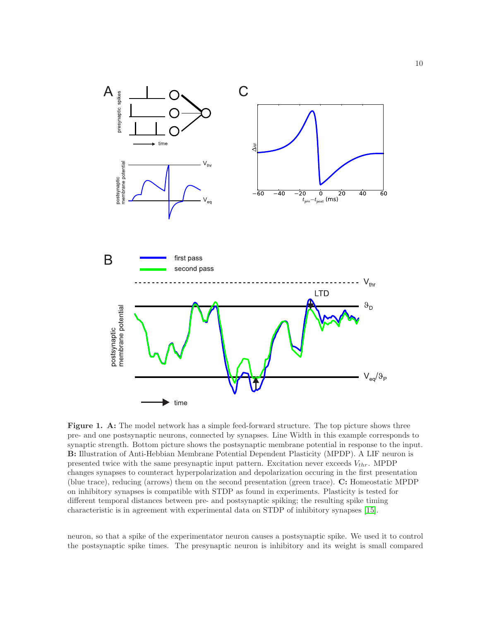<span id="page-9-0"></span>

Figure 1. A: The model network has a simple feed-forward structure. The top picture shows three pre- and one postsynaptic neurons, connected by synapses. Line Width in this example corresponds to synaptic strength. Bottom picture shows the postsynaptic membrane potential in response to the input. B: Illustration of Anti-Hebbian Membrane Potential Dependent Plasticity (MPDP). A LIF neuron is presented twice with the same presynaptic input pattern. Excitation never exceeds  $V_{thr}$ . MPDP changes synapses to counteract hyperpolarization and depolarization occuring in the first presentation (blue trace), reducing (arrows) them on the second presentation (green trace). C: Homeostatic MPDP on inhibitory synapses is compatible with STDP as found in experiments. Plasticity is tested for different temporal distances between pre- and postsynaptic spiking; the resulting spike timing characteristic is in agreement with experimental data on STDP of inhibitory synapses [\[15\]](#page-19-12).

neuron, so that a spike of the experimentator neuron causes a postsynaptic spike. We used it to control the postsynaptic spike times. The presynaptic neuron is inhibitory and its weight is small compared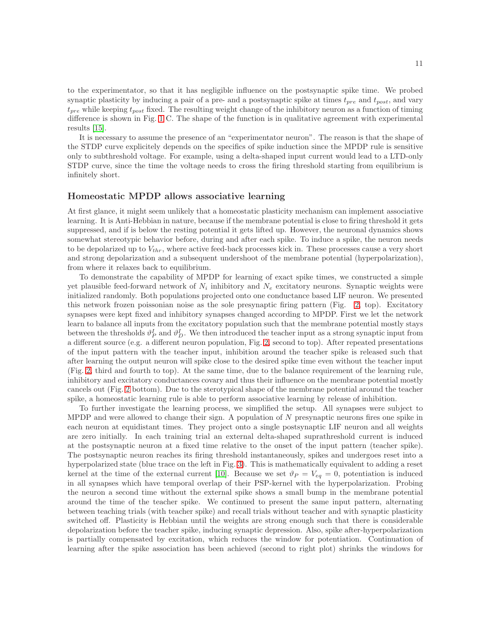to the experimentator, so that it has negligible influence on the postsynaptic spike time. We probed synaptic plasticity by inducing a pair of a pre- and a postsynaptic spike at times  $t_{pre}$  and  $t_{post}$ , and vary  $t_{pre}$  while keeping  $t_{post}$  fixed. The resulting weight change of the inhibitory neuron as a function of timing difference is shown in Fig. [1](#page-9-0) C. The shape of the function is in qualitative agreement with experimental results [\[15\]](#page-19-12).

It is necessary to assume the presence of an "experimentator neuron". The reason is that the shape of the STDP curve explicitely depends on the specifics of spike induction since the MPDP rule is sensitive only to subthreshold voltage. For example, using a delta-shaped input current would lead to a LTD-only STDP curve, since the time the voltage needs to cross the firing threshold starting from equilibrium is infinitely short.

## Homeostatic MPDP allows associative learning

At first glance, it might seem unlikely that a homeostatic plasticity mechanism can implement associative learning. It is Anti-Hebbian in nature, because if the membrane potential is close to firing threshold it gets suppressed, and if is below the resting potential it gets lifted up. However, the neuronal dynamics shows somewhat stereotypic behavior before, during and after each spike. To induce a spike, the neuron needs to be depolarized up to  $V_{thr}$ , where active feed-back processes kick in. These processes cause a very short and strong depolarization and a subsequent undershoot of the membrane potential (hyperpolarization), from where it relaxes back to equilibrium.

To demonstrate the capability of MPDP for learning of exact spike times, we constructed a simple yet plausible feed-forward network of  $N_i$  inhibitory and  $N_e$  excitatory neurons. Synaptic weights were initialized randomly. Both populations projected onto one conductance based LIF neuron. We presented this network frozen poissonian noise as the sole presynaptic firing pattern (Fig. [2,](#page-11-0) top). Excitatory synapses were kept fixed and inhibitory synapses changed according to MPDP. First we let the network learn to balance all inputs from the excitatory population such that the membrane potential mostly stays between the thresholds  $\vartheta_P^I$  and  $\vartheta_D^I$ . We then introduced the teacher input as a strong synaptic input from a different source (e.g. a different neuron population, Fig. [2,](#page-11-0) second to top). After repeated presentations of the input pattern with the teacher input, inhibition around the teacher spike is released such that after learning the output neuron will spike close to the desired spike time even without the teacher input (Fig. [2,](#page-11-0) third and fourth to top). At the same time, due to the balance requirement of the learning rule, inhibitory and excitatory conductances covary and thus their influence on the membrane potential mostly cancels out (Fig. [2](#page-11-0) bottom). Due to the sterotypical shape of the membrane potential around the teacher spike, a homeostatic learning rule is able to perform associative learning by release of inhibition.

To further investigate the learning process, we simplified the setup. All synapses were subject to MPDP and were allowed to change their sign. A population of N presynaptic neurons fires one spike in each neuron at equidistant times. They project onto a single postsynaptic LIF neuron and all weights are zero initially. In each training trial an external delta-shaped suprathreshold current is induced at the postsynaptic neuron at a fixed time relative to the onset of the input pattern (teacher spike). The postsynaptic neuron reaches its firing threshold instantaneously, spikes and undergoes reset into a hyperpolarized state (blue trace on the left in Fig. [3\)](#page-12-0). This is mathematically equivalent to adding a reset kernel at the time of the external current [\[10\]](#page-19-9). Because we set  $\vartheta_P = V_{eq} = 0$ , potentiation is induced in all synapses which have temporal overlap of their PSP-kernel with the hyperpolarization. Probing the neuron a second time without the external spike shows a small bump in the membrane potential around the time of the teacher spike. We continued to present the same input pattern, alternating between teaching trials (with teacher spike) and recall trials without teacher and with synaptic plasticity switched off. Plasticity is Hebbian until the weights are strong enough such that there is considerable depolarization before the teacher spike, inducing synaptic depression. Also, spike after-hyperpolarization is partially compensated by excitation, which reduces the window for potentiation. Continuation of learning after the spike association has been achieved (second to right plot) shrinks the windows for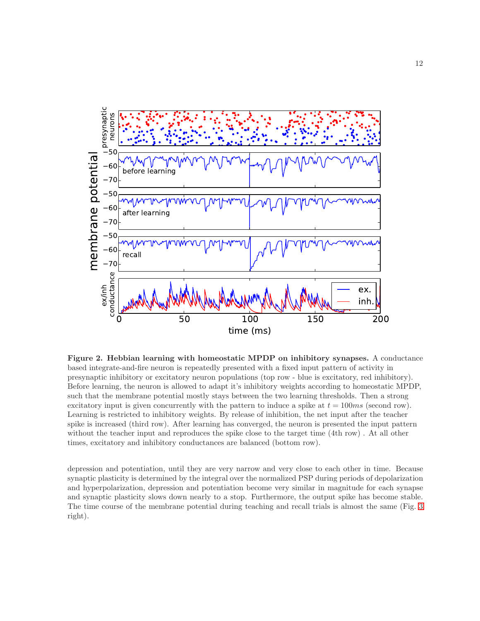<span id="page-11-0"></span>

Figure 2. Hebbian learning with homeostatic MPDP on inhibitory synapses. A conductance based integrate-and-fire neuron is repeatedly presented with a fixed input pattern of activity in presynaptic inhibitory or excitatory neuron populations (top row - blue is excitatory, red inhibitory). Before learning, the neuron is allowed to adapt it's inhibitory weights according to homeostatic MPDP, such that the membrane potential mostly stays between the two learning thresholds. Then a strong excitatory input is given concurrently with the pattern to induce a spike at  $t = 100ms$  (second row). Learning is restricted to inhibitory weights. By release of inhibition, the net input after the teacher spike is increased (third row). After learning has converged, the neuron is presented the input pattern without the teacher input and reproduces the spike close to the target time (4th row) . At all other times, excitatory and inhibitory conductances are balanced (bottom row).

depression and potentiation, until they are very narrow and very close to each other in time. Because synaptic plasticity is determined by the integral over the normalized PSP during periods of depolarization and hyperpolarization, depression and potentiation become very similar in magnitude for each synapse and synaptic plasticity slows down nearly to a stop. Furthermore, the output spike has become stable. The time course of the membrane potential during teaching and recall trials is almost the same (Fig. [3](#page-12-0) right).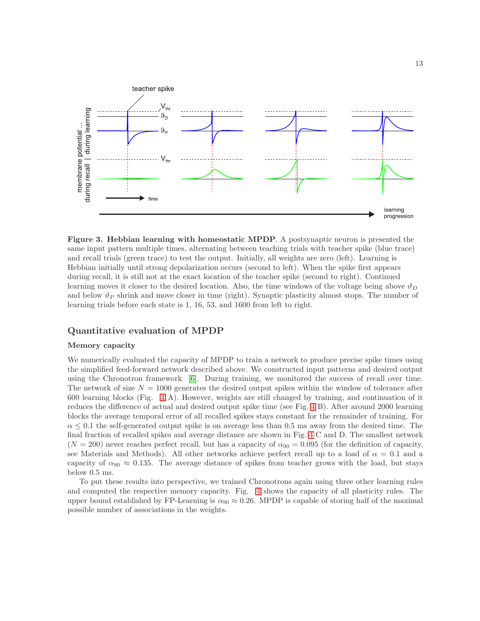<span id="page-12-0"></span>

Figure 3. Hebbian learning with homeostatic MPDP. A postsynaptic neuron is presented the same input pattern multiple times, alternating between teaching trials with teacher spike (blue trace) and recall trials (green trace) to test the output. Initially, all weights are zero (left). Learning is Hebbian initially until strong depolarization occurs (second to left). When the spike first appears during recall, it is still not at the exact location of the teacher spike (second to right). Continued learning moves it closer to the desired location. Also, the time windows of the voltage being above  $\vartheta_D$ and below  $\vartheta_P$  shrink and move closer in time (right). Synaptic plasticity almost stops. The number of learning trials before each state is 1, 16, 53, and 1600 from left to right.

## Quantitative evaluation of MPDP

## Memory capacity

We numerically evaluated the capacity of MPDP to train a network to produce precise spike times using the simplified feed-forward network described above. We constructed input patterns and desired output using the Chronotron framework [\[6\]](#page-19-5). During training, we monitored the success of recall over time. The network of size  $N = 1000$  generates the desired output spikes within the window of tolerance after 600 learning blocks (Fig. [4](#page-13-0) A). However, weights are still changed by training, and continuation of it reduces the difference of actual and desired output spike time (see Fig. [4](#page-13-0) B). After around 2000 learning blocks the average temporal error of all recalled spikes stays constant for the remainder of training. For  $\alpha \leq 0.1$  the self-generated output spike is on average less than 0.5 ms away from the desired time. The final fraction of recalled spikes and average distance are shown in Fig. [4](#page-13-0) C and D. The smallest network  $(N = 200)$  never reaches perfect recall, but has a capacity of  $\alpha_{90} = 0.095$  (for the definition of capacity, see Materials and Methods). All other networks achieve perfect recall up to a load of  $\alpha = 0.1$  and a capacity of  $\alpha_{90} \approx 0.135$ . The average distance of spikes from teacher grows with the load, but stays below 0.5 ms.

To put these results into perspective, we trained Chronotrons again using three other learning rules and computed the respective memory capacity. Fig. [4](#page-13-0) shows the capacity of all plasticity rules. The upper bound established by FP-Learning is  $\alpha_{90} \approx 0.26$ . MPDP is capable of storing half of the maximal possible number of associations in the weights.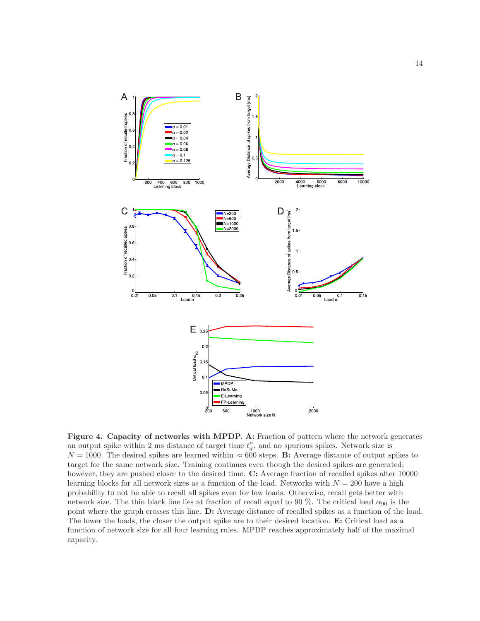<span id="page-13-0"></span>

Figure 4. Capacity of networks with MPDP. A: Fraction of pattern where the network generates an output spike within 2 ms distance of target time  $t_d^{\mu}$ , and no spurious spikes. Network size is  $N = 1000$ . The desired spikes are learned within  $\approx 600$  steps. B: Average distance of output spikes to target for the same network size. Training continues even though the desired spikes are generated; however, they are pushed closer to the desired time. C: Average fraction of recalled spikes after 10000 learning blocks for all network sizes as a function of the load. Networks with  $N = 200$  have a high probability to not be able to recall all spikes even for low loads. Otherwise, recall gets better with network size. The thin black line lies at fraction of recall equal to 90 %. The critical load  $\alpha_{90}$  is the point where the graph crosses this line. D: Average distance of recalled spikes as a function of the load. The lower the loads, the closer the output spike are to their desired location. E: Critical load as a function of network size for all four learning rules. MPDP reaches approximately half of the maximal capacity.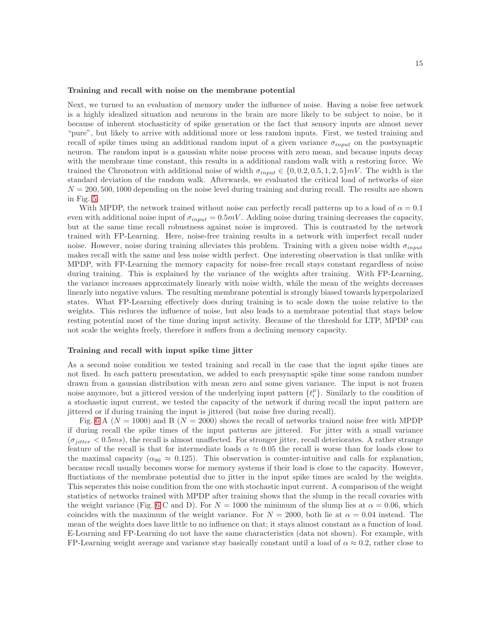#### Training and recall with noise on the membrane potential

Next, we turned to an evaluation of memory under the influence of noise. Having a noise free network is a highly idealized situation and neurons in the brain are more likely to be subject to noise, be it because of inherent stochasticity of spike generation or the fact that sensory inputs are almost never "pure", but likely to arrive with additional more or less random inputs. First, we tested training and recall of spike times using an additional random input of a given variance  $\sigma_{input}$  on the postsynaptic neuron. The random input is a gaussian white noise process with zero mean, and because inputs decay with the membrane time constant, this results in a additional random walk with a restoring force. We trained the Chronotron with additional noise of width  $\sigma_{input} \in \{0, 0.2, 0.5, 1, 2, 5\}$ mV. The width is the standard deviation of the random walk. Afterwards, we evaluated the critical load of networks of size  $N = 200, 500, 1000$  depending on the noise level during training and during recall. The results are shown in Fig. [5.](#page-22-0)

With MPDP, the network trained without noise can perfectly recall patterns up to a load of  $\alpha = 0.1$ even with additional noise input of  $\sigma_{input} = 0.5 mV$ . Adding noise during training decreases the capacity, but at the same time recall robustness against noise is improved. This is contrasted by the network trained with FP-Learning. Here, noise-free training results in a network with imperfect recall under noise. However, noise during training alleviates this problem. Training with a given noise width  $\sigma_{input}$ makes recall with the same and less noise width perfect. One interesting observation is that unlike with MPDP, with FP-Learning the memory capacity for noise-free recall stays constant regardless of noise during training. This is explained by the variance of the weights after training. With FP-Learning, the variance increases approximately linearly with noise width, while the mean of the weights decreases linearly into negative values. The resulting membrane potential is strongly biased towards hyperpolarized states. What FP-Learning effectively does during training is to scale down the noise relative to the weights. This reduces the influence of noise, but also leads to a membrane potential that stays below resting potential most of the time during input activity. Because of the threshold for LTP, MPDP can not scale the weights freely, therefore it suffers from a declining memory capacity.

### Training and recall with input spike time jitter

As a second noise condition we tested training and recall in the case that the input spike times are not fixed. In each pattern presentation, we added to each presynaptic spike time some random number drawn from a gaussian distribution with mean zero and some given variance. The input is not frozen noise anymore, but a jittered version of the underlying input pattern  $\{t_i^{\mu}\}$ . Similarly to the condition of a stochastic input current, we tested the capacity of the network if during recall the input pattern are jittered or if during training the input is jittered (but noise free during recall).

Fig. [6](#page-23-0) A ( $N = 1000$ ) and B ( $N = 2000$ ) shows the recall of networks trained noise free with MPDP if during recall the spike times of the input patterns are jittered. For jitter with a small variance  $(\sigma_{iitter} < 0.5ms)$ , the recall is almost unaffected. For stronger jitter, recall deteriorates. A rather strange feature of the recall is that for intermediate loads  $\alpha \approx 0.05$  the recall is worse than for loads close to the maximal capacity ( $\alpha_{90} \approx 0.125$ ). This observation is counter-intuitive and calls for explanation, because recall usually becomes worse for memory systems if their load is close to the capacity. However, fluctiations of the membrane potential due to jitter in the input spike times are scaled by the weights. This seperates this noise condition from the one with stochastic input current. A comparison of the weight statistics of networks trained with MPDP after training shows that the slump in the recall covaries with the weight variance (Fig. [6](#page-23-0) C and D). For  $N = 1000$  the minimum of the slump lies at  $\alpha = 0.06$ , which coincides with the maximum of the weight variance. For  $N = 2000$ , both lie at  $\alpha = 0.04$  instead. The mean of the weights does have little to no influence on that; it stays almost constant as a function of load. E-Learning and FP-Learning do not have the same characteristics (data not shown). For example, with FP-Learning weight average and variance stay basically constant until a load of  $\alpha \approx 0.2$ , rather close to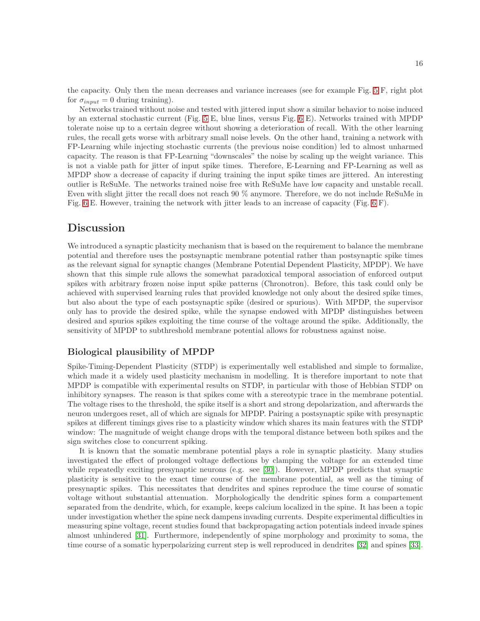the capacity. Only then the mean decreases and variance increases (see for example Fig. [5](#page-22-0) F, right plot for  $\sigma_{input} = 0$  during training).

Networks trained without noise and tested with jittered input show a similar behavior to noise induced by an external stochastic current (Fig. [5](#page-22-0) E, blue lines, versus Fig. [6](#page-23-0) E). Networks trained with MPDP tolerate noise up to a certain degree without showing a deterioration of recall. With the other learning rules, the recall gets worse with arbitrary small noise levels. On the other hand, training a network with FP-Learning while injecting stochastic currents (the previous noise condition) led to almost unharmed capacity. The reason is that FP-Learning "downscales" the noise by scaling up the weight variance. This is not a viable path for jitter of input spike times. Therefore, E-Learning and FP-Learning as well as MPDP show a decrease of capacity if during training the input spike times are jittered. An interesting outlier is ReSuMe. The networks trained noise free with ReSuMe have low capacity and unstable recall. Even with slight jitter the recall does not reach 90 % anymore. Therefore, we do not include ReSuMe in Fig. [6](#page-23-0) E. However, training the network with jitter leads to an increase of capacity (Fig. [6](#page-23-0) F).

## Discussion

We introduced a synaptic plasticity mechanism that is based on the requirement to balance the membrane potential and therefore uses the postsynaptic membrane potential rather than postsynaptic spike times as the relevant signal for synaptic changes (Membrane Potential Dependent Plasticity, MPDP). We have shown that this simple rule allows the somewhat paradoxical temporal association of enforced output spikes with arbitrary frozen noise input spike patterns (Chronotron). Before, this task could only be achieved with supervised learning rules that provided knowledge not only about the desired spike times, but also about the type of each postsynaptic spike (desired or spurious). With MPDP, the supervisor only has to provide the desired spike, while the synapse endowed with MPDP distinguishes between desired and spurios spikes exploiting the time course of the voltage around the spike. Additionally, the sensitivity of MPDP to subthreshold membrane potential allows for robustness against noise.

## Biological plausibility of MPDP

Spike-Timing-Dependent Plasticity (STDP) is experimentally well established and simple to formalize, which made it a widely used plasticity mechanism in modelling. It is therefore important to note that MPDP is compatible with experimental results on STDP, in particular with those of Hebbian STDP on inhibitory synapses. The reason is that spikes come with a stereotypic trace in the membrane potential. The voltage rises to the threshold, the spike itself is a short and strong depolarization, and afterwards the neuron undergoes reset, all of which are signals for MPDP. Pairing a postsynaptic spike with presynaptic spikes at different timings gives rise to a plasticity window which shares its main features with the STDP window: The magnitude of weight change drops with the temporal distance between both spikes and the sign switches close to concurrent spiking.

It is known that the somatic membrane potential plays a role in synaptic plasticity. Many studies investigated the effect of prolonged voltage deflections by clamping the voltage for an extended time while repeatedly exciting presynaptic neurons (e.g. see [\[30\]](#page-20-5)). However, MPDP predicts that synaptic plasticity is sensitive to the exact time course of the membrane potential, as well as the timing of presynaptic spikes. This necessitates that dendrites and spines reproduce the time course of somatic voltage without substantial attenuation. Morphologically the dendritic spines form a compartement separated from the dendrite, which, for example, keeps calcium localized in the spine. It has been a topic under investigation whether the spine neck dampens invading currents. Despite experimental difficulties in measuring spine voltage, recent studies found that backpropagating action potentials indeed invade spines almost unhindered [\[31\]](#page-20-6). Furthermore, independently of spine morphology and proximity to soma, the time course of a somatic hyperpolarizing current step is well reproduced in dendrites [\[32\]](#page-20-7) and spines [\[33\]](#page-20-8).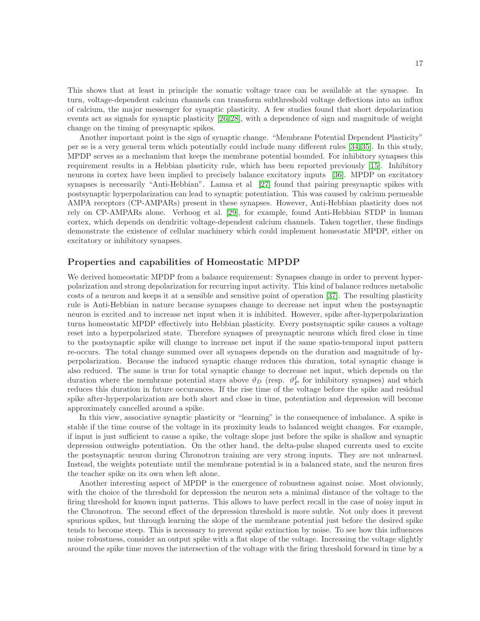This shows that at least in principle the somatic voltage trace can be available at the synapse. In turn, voltage-dependent calcium channels can transform subthreshold voltage deflections into an influx of calcium, the major messenger for synaptic plasticity. A few studies found that short depolarization events act as signals for synaptic plasticity [\[26,](#page-20-3) [28\]](#page-20-9), with a dependence of sign and magnitude of weight change on the timing of presynaptic spikes.

Another important point is the sign of synaptic change. "Membrane Potential Dependent Plasticity" per se is a very general term which potentially could include many different rules [\[34,](#page-20-10) [35\]](#page-20-11). In this study, MPDP serves as a mechanism that keeps the membrane potential bounded. For inhibitory synapses this requirement results in a Hebbian plasticity rule, which has been reported previously [\[15\]](#page-19-12). Inhibitory neurons in cortex have been implied to precisely balance excitatory inputs [\[36\]](#page-20-12). MPDP on excitatory synapses is necessarily "Anti-Hebbian". Lamsa et al [\[27\]](#page-20-13) found that pairing presynaptic spikes with postsynaptic hyperpolarization can lead to synaptic potentiation. This was caused by calcium permeable AMPA receptors (CP-AMPARs) present in these synapses. However, Anti-Hebbian plasticity does not rely on CP-AMPARs alone. Verhoog et al. [\[29\]](#page-20-4), for example, found Anti-Hebbian STDP in human cortex, which depends on dendritic voltage-dependent calcium channels. Taken together, these findings demonstrate the existence of cellular machinery which could implement homeostatic MPDP, either on excitatory or inhibitory synapses.

## Properties and capabilities of Homeostatic MPDP

We derived homeostatic MPDP from a balance requirement: Synapses change in order to prevent hyperpolarization and strong depolarization for recurring input activity. This kind of balance reduces metabolic costs of a neuron and keeps it at a sensible and sensitive point of operation [\[37\]](#page-20-14). The resulting plasticity rule is Anti-Hebbian in nature because synapses change to decrease net input when the postsynaptic neuron is excited and to increase net input when it is inhibited. However, spike after-hyperpolarization turns homeostatic MPDP effectively into Hebbian plasticity. Every postsynaptic spike causes a voltage reset into a hyperpolarized state. Therefore synapses of presynaptic neurons which fired close in time to the postsynaptic spike will change to increase net input if the same spatio-temporal input pattern re-occurs. The total change summed over all synapses depends on the duration and magnitude of hyperpolarization. Because the induced synaptic change reduces this duration, total synaptic change is also reduced. The same is true for total synaptic change to decrease net input, which depends on the duration where the membrane potential stays above  $\vartheta_D$  (resp.  $\vartheta_P^I$  for inhibitory synapses) and which reduces this duration in future occurances. If the rise time of the voltage before the spike and residual spike after-hyperpolarization are both short and close in time, potentiation and depression will become approximately cancelled around a spike.

In this view, associative synaptic plasticity or "learning" is the consequence of imbalance. A spike is stable if the time course of the voltage in its proximity leads to balanced weight changes. For example, if input is just sufficient to cause a spike, the voltage slope just before the spike is shallow and synaptic depression outweighs potentiation. On the other hand, the delta-pulse shaped currents used to excite the postsynaptic neuron during Chronotron training are very strong inputs. They are not unlearned. Instead, the weights potentiate until the membrane potential is in a balanced state, and the neuron fires the teacher spike on its own when left alone.

Another interesting aspect of MPDP is the emergence of robustness against noise. Most obviously, with the choice of the threshold for depression the neuron sets a minimal distance of the voltage to the firing threshold for known input patterns. This allows to have perfect recall in the case of noisy input in the Chronotron. The second effect of the depression threshold is more subtle. Not only does it prevent spurious spikes, but through learning the slope of the membrane potential just before the desired spike tends to become steep. This is necessary to prevent spike extinction by noise. To see how this influences noise robustness, consider an output spike with a flat slope of the voltage. Increasing the voltage slightly around the spike time moves the intersection of the voltage with the firing threshold forward in time by a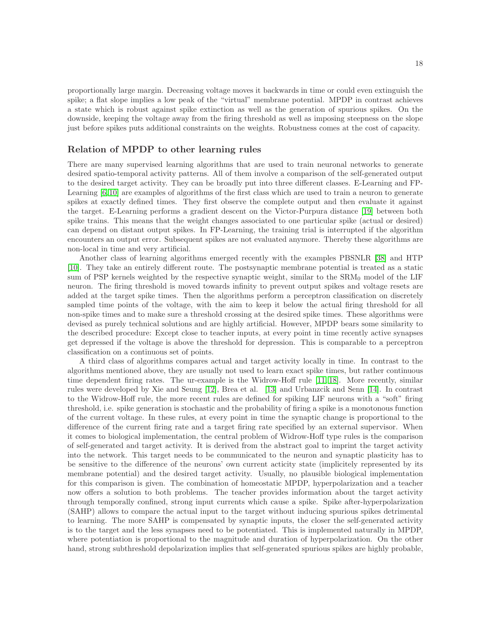proportionally large margin. Decreasing voltage moves it backwards in time or could even extinguish the spike; a flat slope implies a low peak of the "virtual" membrane potential. MPDP in contrast achieves a state which is robust against spike extinction as well as the generation of spurious spikes. On the downside, keeping the voltage away from the firing threshold as well as imposing steepness on the slope just before spikes puts additional constraints on the weights. Robustness comes at the cost of capacity.

## Relation of MPDP to other learning rules

There are many supervised learning algorithms that are used to train neuronal networks to generate desired spatio-temporal activity patterns. All of them involve a comparison of the self-generated output to the desired target activity. They can be broadly put into three different classes. E-Learning and FP-Learning [\[6,](#page-19-5) [10\]](#page-19-9) are examples of algorithms of the first class which are used to train a neuron to generate spikes at exactly defined times. They first observe the complete output and then evaluate it against the target. E-Learning performs a gradient descent on the Victor-Purpura distance [\[19\]](#page-19-17) between both spike trains. This means that the weight changes associated to one particular spike (actual or desired) can depend on distant output spikes. In FP-Learning, the training trial is interrupted if the algorithm encounters an output error. Subsequent spikes are not evaluated anymore. Thereby these algorithms are non-local in time and very artificial.

Another class of learning algorithms emerged recently with the examples PBSNLR [\[38\]](#page-21-0) and HTP [\[10\]](#page-19-9). They take an entirely different route. The postsynaptic membrane potential is treated as a static sum of PSP kernels weighted by the respective synaptic weight, similar to the  $\rm SRM_0$  model of the LIF neuron. The firing threshold is moved towards infinity to prevent output spikes and voltage resets are added at the target spike times. Then the algorithms perform a perceptron classification on discretely sampled time points of the voltage, with the aim to keep it below the actual firing threshold for all non-spike times and to make sure a threshold crossing at the desired spike times. These algorithms were devised as purely technical solutions and are highly artificial. However, MPDP bears some similarity to the described procedure: Except close to teacher inputs, at every point in time recently active synapses get depressed if the voltage is above the threshold for depression. This is comparable to a perceptron classification on a continuous set of points.

A third class of algorithms compares actual and target activity locally in time. In contrast to the algorithms mentioned above, they are usually not used to learn exact spike times, but rather continuous time dependent firing rates. The ur-example is the Widrow-Hoff rule [\[11,](#page-19-10) [18\]](#page-19-15). More recently, similar rules were developed by Xie and Seung [\[12\]](#page-19-16), Brea et al. [\[13\]](#page-19-18) and Urbanzcik and Senn [\[14\]](#page-19-11). In contrast to the Widrow-Hoff rule, the more recent rules are defined for spiking LIF neurons with a "soft" firing threshold, i.e. spike generation is stochastic and the probability of firing a spike is a monotonous function of the current voltage. In these rules, at every point in time the synaptic change is proportional to the difference of the current firing rate and a target firing rate specified by an external supervisor. When it comes to biological implementation, the central problem of Widrow-Hoff type rules is the comparison of self-generated and target activity. It is derived from the abstract goal to imprint the target activity into the network. This target needs to be communicated to the neuron and synaptic plasticity has to be sensitive to the difference of the neurons' own current acticity state (implicitely represented by its membrane potential) and the desired target activity. Usually, no plausible biological implementation for this comparison is given. The combination of homeostatic MPDP, hyperpolarization and a teacher now offers a solution to both problems. The teacher provides information about the target activity through temporally confined, strong input currents which cause a spike. Spike after-hyperpolarization (SAHP) allows to compare the actual input to the target without inducing spurious spikes detrimental to learning. The more SAHP is compensated by synaptic inputs, the closer the self-generated activity is to the target and the less synapses need to be potentiated. This is implemented naturally in MPDP, where potentiation is proportional to the magnitude and duration of hyperpolarization. On the other hand, strong subthreshold depolarization implies that self-generated spurious spikes are highly probable,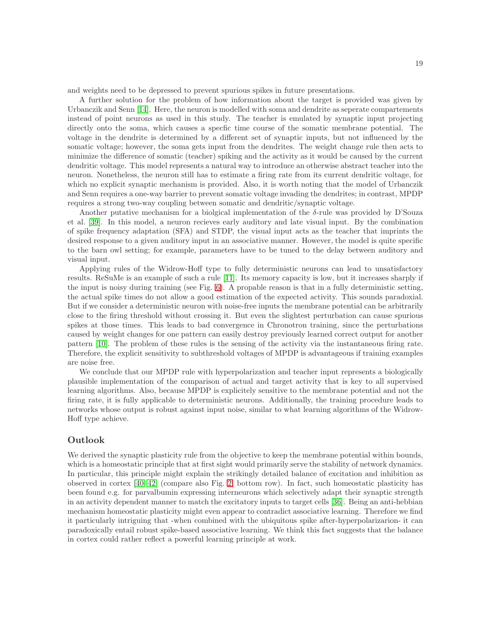and weights need to be depressed to prevent spurious spikes in future presentations.

A further solution for the problem of how information about the target is provided was given by Urbanczik and Senn [\[14\]](#page-19-11). Here, the neuron is modelled with soma and dendrite as seperate compartements instead of point neurons as used in this study. The teacher is emulated by synaptic input projecting directly onto the soma, which causes a specfic time course of the somatic membrane potential. The voltage in the dendrite is determined by a different set of synaptic inputs, but not influenced by the somatic voltage; however, the soma gets input from the dendrites. The weight change rule then acts to minimize the difference of somatic (teacher) spiking and the activity as it would be caused by the current dendritic voltage. This model represents a natural way to introduce an otherwise abstract teacher into the neuron. Nonetheless, the neuron still has to estimate a firing rate from its current dendritic voltage, for which no explicit synaptic mechanism is provided. Also, it is worth noting that the model of Urbanczik and Senn requires a one-way barrier to prevent somatic voltage invading the dendrites; in contrast, MPDP requires a strong two-way coupling between somatic and dendritic/synaptic voltage.

Another putative mechanism for a biolgical implementation of the  $\delta$ -rule was provided by D'Souza et al. [\[39\]](#page-21-1). In this model, a neuron recieves early auditory and late visual input. By the combination of spike frequency adaptation (SFA) and STDP, the visual input acts as the teacher that imprints the desired response to a given auditory input in an associative manner. However, the model is quite specific to the barn owl setting; for example, parameters have to be tuned to the delay between auditory and visual input.

Applying rules of the Widrow-Hoff type to fully deterministic neurons can lead to unsatisfactory results. ReSuMe is an example of such a rule [\[11\]](#page-19-10). Its memory capacity is low, but it increases sharply if the input is noisy during training (see Fig. [6\)](#page-23-0). A propable reason is that in a fully deterministic setting, the actual spike times do not allow a good estimation of the expected activity. This sounds paradoxial. But if we consider a deterministic neuron with noise-free inputs the membrane potential can be arbitrarily close to the firing threshold without crossing it. But even the slightest perturbation can cause spurious spikes at those times. This leads to bad convergence in Chronotron training, since the perturbations caused by weight changes for one pattern can easily destroy previously learned correct output for another pattern [\[10\]](#page-19-9). The problem of these rules is the sensing of the activity via the instantaneous firing rate. Therefore, the explicit sensitivity to subthreshold voltages of MPDP is advantageous if training examples are noise free.

We conclude that our MPDP rule with hyperpolarization and teacher input represents a biologically plausible implementation of the comparison of actual and target activity that is key to all supervised learning algorithms. Also, because MPDP is explicitely sensitive to the membrane potential and not the firing rate, it is fully applicable to deterministic neurons. Additionally, the training procedure leads to networks whose output is robust against input noise, similar to what learning algorithms of the Widrow-Hoff type achieve.

## Outlook

We derived the synaptic plasticity rule from the objective to keep the membrane potential within bounds, which is a homeostatic principle that at first sight would primarily serve the stability of network dynamics. In particular, this principle might explain the strikingly detailed balance of excitation and inhibition as observed in cortex [\[40](#page-21-2)[–42\]](#page-21-3) (compare also Fig. [2,](#page-11-0) bottom row). In fact, such homeostatic plasticity has been found e.g. for parvalbumin expressing interneurons which selectively adapt their synaptic strength in an activity dependent manner to match the excitatory inputs to target cells [\[36\]](#page-20-12). Being an anti-hebbian mechanism homeostatic plasticity might even appear to contradict associative learning. Therefore we find it particularly intriguing that -when combined with the ubiquitous spike after-hyperpolarizarion- it can paradoxically entail robust spike-based associative learning. We think this fact suggests that the balance in cortex could rather reflect a powerful learning principle at work.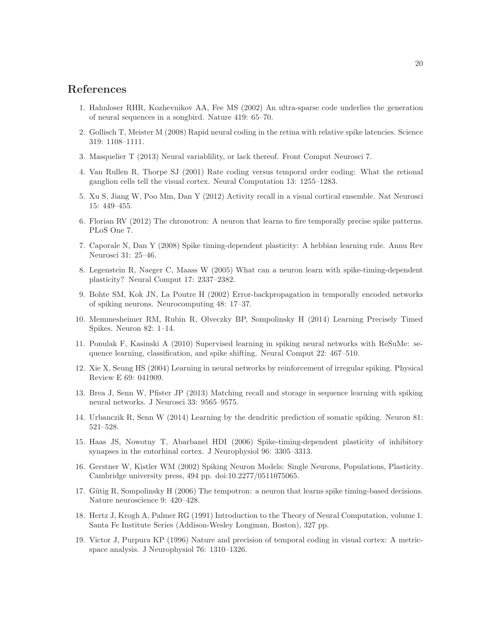## <span id="page-19-0"></span>References

- <span id="page-19-1"></span>1. Hahnloser RHR, Kozhevnikov AA, Fee MS (2002) An ultra-sparse code underlies the generation of neural sequences in a songbird. Nature 419: 65–70.
- <span id="page-19-2"></span>2. Gollisch T, Meister M (2008) Rapid neural coding in the retina with relative spike latencies. Science 319: 1108–1111.
- <span id="page-19-3"></span>3. Masquelier T (2013) Neural variablility, or lack thereof. Front Comput Neurosci 7.
- <span id="page-19-4"></span>4. Van Rullen R, Thorpe SJ (2001) Rate coding versus temporal order coding: What the retional ganglion cells tell the visual cortex. Neural Computation 13: 1255–1283.
- <span id="page-19-5"></span>5. Xu S, Jiang W, Poo Mm, Dan Y (2012) Activity recall in a visual cortical ensemble. Nat Neurosci 15: 449–455.
- <span id="page-19-6"></span>6. Florian RV (2012) The chronotron: A neuron that learns to fire temporally precise spike patterns. PLoS One 7.
- <span id="page-19-7"></span>7. Caporale N, Dan Y (2008) Spike timing-dependent plasticity: A hebbian learning rule. Annu Rev Neurosci 31: 25–46.
- 8. Legenstein R, Naeger C, Maass W (2005) What can a neuron learn with spike-timing-dependent plasticity? Neural Comput 17: 2337–2382.
- <span id="page-19-8"></span>9. Bohte SM, Kok JN, La Poutre H (2002) Error-backpropagation in temporally encoded networks of spiking neurons. Neurocomputing 48: 17–37.
- <span id="page-19-9"></span>10. Memmesheimer RM, Rubin R, Olveczky BP, Sompolinsky H (2014) Learning Precisely Timed Spikes. Neuron 82: 1–14.
- <span id="page-19-10"></span>11. Ponulak F, Kasinski A (2010) Supervised learning in spiking neural networks with ReSuMe: sequence learning, classification, and spike shifting. Neural Comput 22: 467–510.
- <span id="page-19-18"></span><span id="page-19-16"></span>12. Xie X, Seung HS (2004) Learning in neural networks by reinforcement of irregular spiking. Physical Review E 69: 041909.
- <span id="page-19-11"></span>13. Brea J, Senn W, Pfister JP (2013) Matching recall and storage in sequence learning with spiking neural networks. J Neurosci 33: 9565–9575.
- <span id="page-19-12"></span>14. Urbanczik R, Senn W (2014) Learning by the dendritic prediction of somatic spiking. Neuron 81: 521–528.
- 15. Haas JS, Nowotny T, Abarbanel HDI (2006) Spike-timing-dependent plasticity of inhibitory synapses in the entorhinal cortex. J Neurophysiol 96: 3305–3313.
- <span id="page-19-13"></span>16. Gerstner W, Kistler WM (2002) Spiking Neuron Models: Single Neurons, Populations, Plasticity. Cambridge university press, 494 pp. doi:10.2277/0511075065.
- <span id="page-19-15"></span><span id="page-19-14"></span>17. Gütig R, Sompolinsky H (2006) The tempotron: a neuron that learns spike timing-based decisions. Nature neuroscience 9: 420–428.
- 18. Hertz J, Krogh A, Palmer RG (1991) Introduction to the Theory of Neural Computation, volume 1. Santa Fe Institute Series (Addison-Wesley Longman, Boston), 327 pp.
- <span id="page-19-17"></span>19. Victor J, Purpura KP (1996) Nature and precision of temporal coding in visual cortex: A metricspace analysis. J Neurophysiol 76: 1310–1326.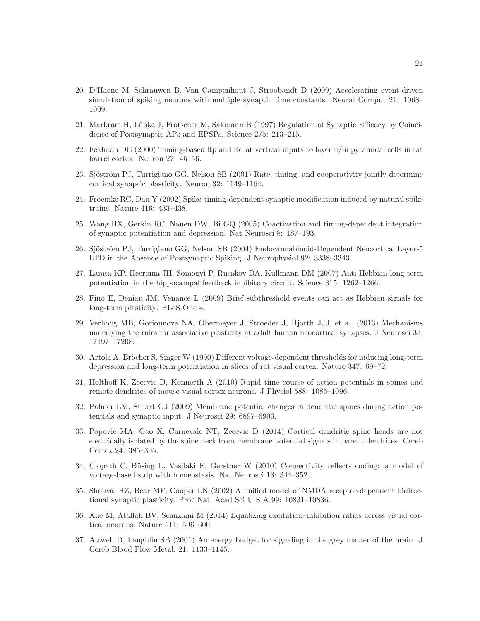- <span id="page-20-0"></span>20. D'Haene M, Schrauwen B, Van Campenhout J, Stroobandt D (2009) Accelerating event-driven simulation of spiking neurons with multiple synaptic time constants. Neural Comput 21: 1068– 1099.
- <span id="page-20-1"></span>21. Markram H, Lübke J, Frotscher M, Sakmann B (1997) Regulation of Synaptic Efficacy by Coincidence of Postsynaptic APs and EPSPs. Science 275: 213–215.
- 22. Feldman DE (2000) Timing-based ltp and ltd at vertical inputs to layer ii/iii pyramidal cells in rat barrel cortex. Neuron 27: 45–56.
- 23. Sjöström PJ, Turrigiano GG, Nelson SB (2001) Rate, timing, and cooperativity jointly determine cortical synaptic plasticity. Neuron 32: 1149–1164.
- <span id="page-20-2"></span>24. Froemke RC, Dan Y (2002) Spike-timing-dependent synaptic modification induced by natural spike trains. Nature 416: 433–438.
- 25. Wang HX, Gerkin RC, Nauen DW, Bi GQ (2005) Coactivation and timing-dependent integration of synaptic potentiation and depression. Nat Neurosci 8: 187–193.
- <span id="page-20-3"></span>26. Sjöström PJ, Turrigiano GG, Nelson SB (2004) Endocannabinoid-Dependent Neocortical Layer-5 LTD in the Absence of Postsynaptic Spiking. J Neurophysiol 92: 3338–3343.
- <span id="page-20-13"></span>27. Lamsa KP, Heeroma JH, Somogyi P, Rusakov DA, Kullmann DM (2007) Anti-Hebbian long-term potentiation in the hippocampal feedback inhibitory circuit. Science 315: 1262–1266.
- <span id="page-20-9"></span>28. Fino E, Deniau JM, Venance L (2009) Brief subthreshold events can act as Hebbian signals for long-term plasticity. PLoS One 4.
- <span id="page-20-4"></span>29. Verhoog MB, Goriounova NA, Obermayer J, Stroeder J, Hjorth JJJ, et al. (2013) Mechanisms underlying the rules for associative plasticity at adult human neocortical synapses. J Neurosci 33: 17197–17208.
- <span id="page-20-5"></span>30. Artola A, Bröcher S, Singer W (1990) Different voltage-dependent thresholds for inducing long-term depression and long-term potentiation in slices of rat visual cortex. Nature 347: 69–72.
- <span id="page-20-6"></span>31. Holthoff K, Zecevic D, Konnerth A (2010) Rapid time course of action potentials in spines and remote dendrites of mouse visual cortex neurons. J Physiol 588: 1085–1096.
- <span id="page-20-7"></span>32. Palmer LM, Stuart GJ (2009) Membrane potential changes in dendritic spines during action potentials and synaptic input. J Neurosci 29: 6897–6903.
- <span id="page-20-8"></span>33. Popovic MA, Gao X, Carnevale NT, Zecevic D (2014) Cortical dendritic spine heads are not electrically isolated by the spine neck from membrane potential signals in parent dendrites. Cereb Cortex 24: 385–395.
- <span id="page-20-10"></span>34. Clopath C, Büsing L, Vasilaki E, Gerstner W (2010) Connectivity reflects coding: a model of voltage-based stdp with homeostasis. Nat Neurosci 13: 344–352.
- <span id="page-20-11"></span>35. Shouval HZ, Bear MF, Cooper LN (2002) A unified model of NMDA receptor-dependent bidirectional synaptic plasticity. Proc Natl Acad Sci U S A 99: 10831–10836.
- <span id="page-20-14"></span><span id="page-20-12"></span>36. Xue M, Atallah BV, Scanziani M (2014) Equalizing excitation–inhibition ratios across visual cortical neurons. Nature 511: 596–600.
- 37. Attwell D, Laughlin SB (2001) An energy budget for signaling in the grey matter of the brain. J Cereb Blood Flow Metab 21: 1133–1145.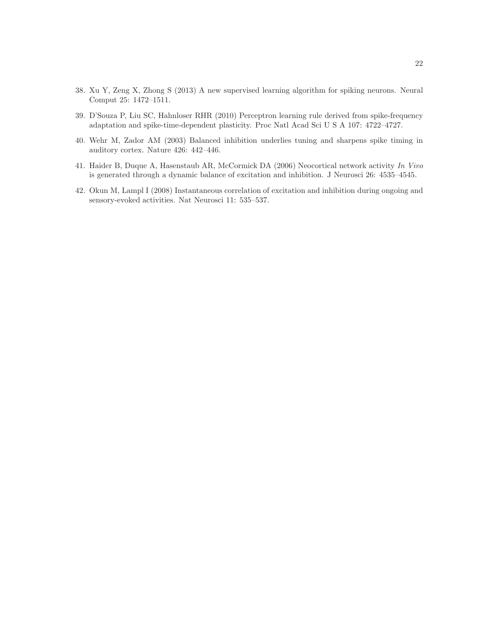- <span id="page-21-1"></span><span id="page-21-0"></span>38. Xu Y, Zeng X, Zhong S (2013) A new supervised learning algorithm for spiking neurons. Neural Comput 25: 1472–1511.
- <span id="page-21-2"></span>39. D'Souza P, Liu SC, Hahnloser RHR (2010) Perceptron learning rule derived from spike-frequency adaptation and spike-time-dependent plasticity. Proc Natl Acad Sci U S A 107: 4722–4727.
- 40. Wehr M, Zador AM (2003) Balanced inhibition underlies tuning and sharpens spike timing in auditory cortex. Nature 426: 442–446.
- <span id="page-21-3"></span>41. Haider B, Duque A, Hasenstaub AR, McCormick DA (2006) Neocortical network activity In Vivo is generated through a dynamic balance of excitation and inhibition. J Neurosci 26: 4535–4545.
- 42. Okun M, Lampl I (2008) Instantaneous correlation of excitation and inhibition during ongoing and sensory-evoked activities. Nat Neurosci 11: 535–537.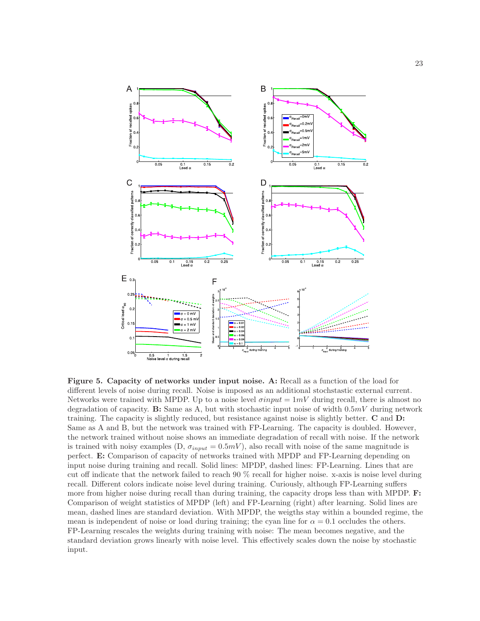<span id="page-22-0"></span>

Figure 5. Capacity of networks under input noise. A: Recall as a function of the load for different levels of noise during recall. Noise is imposed as an additional stochstastic external current. Networks were trained with MPDP. Up to a noise level  $\sigma input = 1mV$  during recall, there is almost no degradation of capacity. B: Same as A, but with stochastic input noise of width  $0.5mV$  during network training. The capacity is slightly reduced, but resistance against noise is slightly better. C and D: Same as A and B, but the network was trained with FP-Learning. The capacity is doubled. However, the network trained without noise shows an immediate degradation of recall with noise. If the network is trained with noisy examples (D,  $\sigma_{input} = 0.5mV$ ), also recall with noise of the same magnitude is perfect. E: Comparison of capacity of networks trained with MPDP and FP-Learning depending on input noise during training and recall. Solid lines: MPDP, dashed lines: FP-Learning. Lines that are cut off indicate that the network failed to reach 90 % recall for higher noise. x-axis is noise level during recall. Different colors indicate noise level during training. Curiously, although FP-Learning suffers more from higher noise during recall than during training, the capacity drops less than with MPDP. **F:** Comparison of weight statistics of MPDP (left) and FP-Learning (right) after learning. Solid lines are mean, dashed lines are standard deviation. With MPDP, the weigths stay within a bounded regime, the mean is independent of noise or load during training; the cyan line for  $\alpha = 0.1$  occludes the others. FP-Learning rescales the weights during training with noise: The mean becomes negative, and the standard deviation grows linearly with noise level. This effectively scales down the noise by stochastic input.